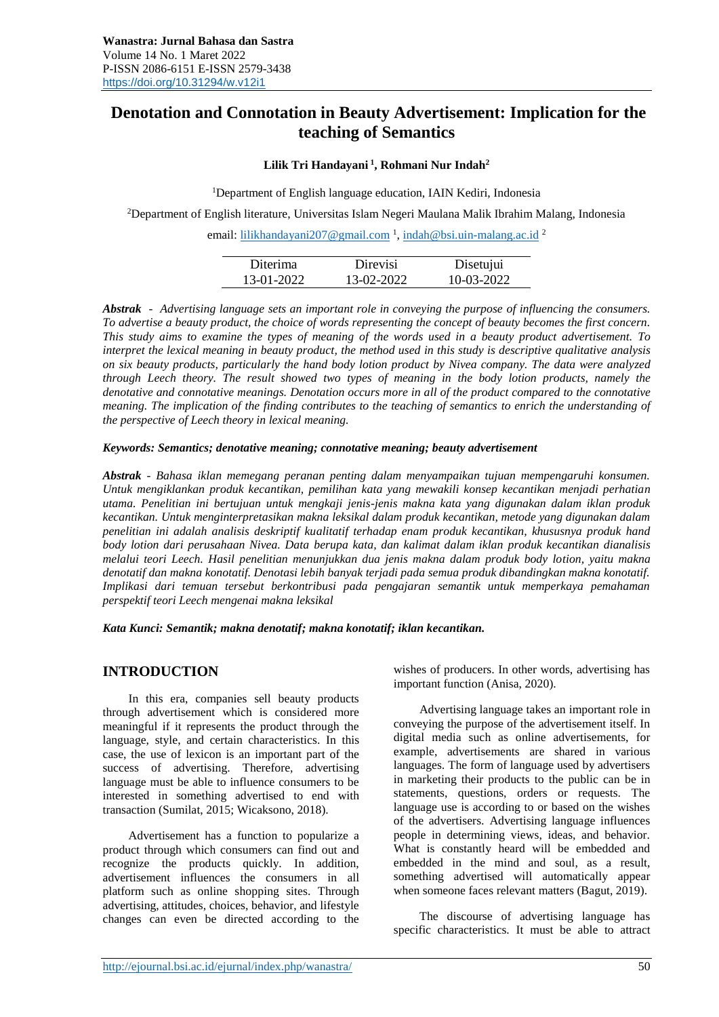# **Denotation and Connotation in Beauty Advertisement: Implication for the teaching of Semantics**

## **Lilik Tri Handayani <sup>1</sup> , Rohmani Nur Indah<sup>2</sup>**

<sup>1</sup>Department of English language education, IAIN Kediri, Indonesia

<sup>2</sup>Department of English literature, Universitas Islam Negeri Maulana Malik Ibrahim Malang, Indonesia

email: <u>lilikhandayani207@gmail.com</u><sup>1</sup>[,](mailto:allydaulfa@gmail.com1) [indah@bsi.uin-malang.ac.id](mailto:indah@bsi.uin-malang.ac.id)<sup>2</sup>

| Diterima   | Direvisi   | Disetujui  |
|------------|------------|------------|
| 13-01-2022 | 13-02-2022 | 10-03-2022 |

*Abstrak - Advertising language sets an important role in conveying the purpose of influencing the consumers. To advertise a beauty product, the choice of words representing the concept of beauty becomes the first concern. This study aims to examine the types of meaning of the words used in a beauty product advertisement. To interpret the lexical meaning in beauty product, the method used in this study is descriptive qualitative analysis on six beauty products, particularly the hand body lotion product by Nivea company. The data were analyzed through Leech theory. The result showed two types of meaning in the body lotion products, namely the denotative and connotative meanings. Denotation occurs more in all of the product compared to the connotative meaning. The implication of the finding contributes to the teaching of semantics to enrich the understanding of the perspective of Leech theory in lexical meaning.*

#### *Keywords: Semantics; denotative meaning; connotative meaning; beauty advertisement*

*Abstrak - Bahasa iklan memegang peranan penting dalam menyampaikan tujuan mempengaruhi konsumen. Untuk mengiklankan produk kecantikan, pemilihan kata yang mewakili konsep kecantikan menjadi perhatian utama. Penelitian ini bertujuan untuk mengkaji jenis-jenis makna kata yang digunakan dalam iklan produk kecantikan. Untuk menginterpretasikan makna leksikal dalam produk kecantikan, metode yang digunakan dalam penelitian ini adalah analisis deskriptif kualitatif terhadap enam produk kecantikan, khususnya produk hand body lotion dari perusahaan Nivea. Data berupa kata, dan kalimat dalam iklan produk kecantikan dianalisis melalui teori Leech. Hasil penelitian menunjukkan dua jenis makna dalam produk body lotion, yaitu makna denotatif dan makna konotatif. Denotasi lebih banyak terjadi pada semua produk dibandingkan makna konotatif. Implikasi dari temuan tersebut berkontribusi pada pengajaran semantik untuk memperkaya pemahaman perspektif teori Leech mengenai makna leksikal*

*Kata Kunci: Semantik; makna denotatif; makna konotatif; iklan kecantikan.*

## **INTRODUCTION**

In this era, companies sell beauty products through advertisement which is considered more meaningful if it represents the product through the language, style, and certain characteristics. In this case, the use of lexicon is an important part of the success of advertising. Therefore, advertising language must be able to influence consumers to be interested in something advertised to end with transaction (Sumilat, 2015; Wicaksono, 2018).

Advertisement has a function to popularize a product through which consumers can find out and recognize the products quickly. In addition, advertisement influences the consumers in all platform such as online shopping sites. Through advertising, attitudes, choices, behavior, and lifestyle changes can even be directed according to the

wishes of producers. In other words, advertising has important function (Anisa, 2020).

Advertising language takes an important role in conveying the purpose of the advertisement itself. In digital media such as online advertisements, for example, advertisements are shared in various languages. The form of language used by advertisers in marketing their products to the public can be in statements, questions, orders or requests. The language use is according to or based on the wishes of the advertisers. Advertising language influences people in determining views, ideas, and behavior. What is constantly heard will be embedded and embedded in the mind and soul, as a result, something advertised will automatically appear when someone faces relevant matters (Bagut, 2019).

The discourse of advertising language has specific characteristics. It must be able to attract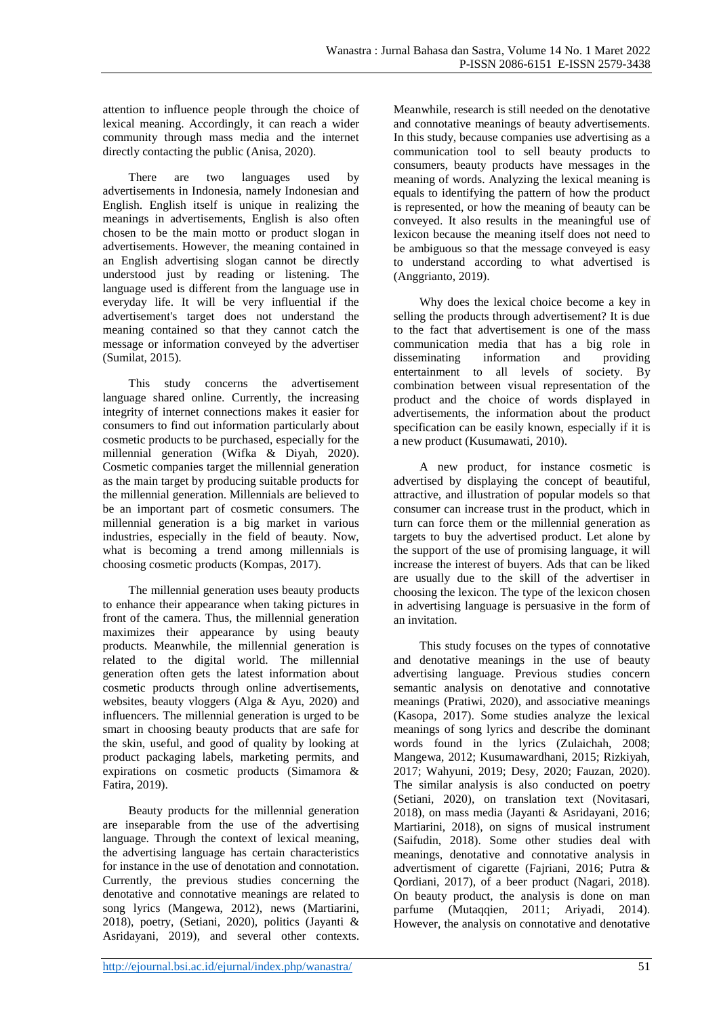attention to influence people through the choice of lexical meaning. Accordingly, it can reach a wider community through mass media and the internet directly contacting the public (Anisa, 2020).

There are two languages used by advertisements in Indonesia, namely Indonesian and English. English itself is unique in realizing the meanings in advertisements, English is also often chosen to be the main motto or product slogan in advertisements. However, the meaning contained in an English advertising slogan cannot be directly understood just by reading or listening. The language used is different from the language use in everyday life. It will be very influential if the advertisement's target does not understand the meaning contained so that they cannot catch the message or information conveyed by the advertiser (Sumilat, 2015).

This study concerns the advertisement language shared online. Currently, the increasing integrity of internet connections makes it easier for consumers to find out information particularly about cosmetic products to be purchased, especially for the millennial generation (Wifka & Diyah, 2020). Cosmetic companies target the millennial generation as the main target by producing suitable products for the millennial generation. Millennials are believed to be an important part of cosmetic consumers. The millennial generation is a big market in various industries, especially in the field of beauty. Now, what is becoming a trend among millennials is choosing cosmetic products (Kompas, 2017).

The millennial generation uses beauty products to enhance their appearance when taking pictures in front of the camera. Thus, the millennial generation maximizes their appearance by using beauty products. Meanwhile, the millennial generation is related to the digital world. The millennial generation often gets the latest information about cosmetic products through online advertisements, websites, beauty vloggers (Alga & Ayu, 2020) and influencers. The millennial generation is urged to be smart in choosing beauty products that are safe for the skin, useful, and good of quality by looking at product packaging labels, marketing permits, and expirations on cosmetic products (Simamora & Fatira, 2019).

Beauty products for the millennial generation are inseparable from the use of the advertising language. Through the context of lexical meaning, the advertising language has certain characteristics for instance in the use of denotation and connotation. Currently, the previous studies concerning the denotative and connotative meanings are related to song lyrics (Mangewa, 2012), news (Martiarini, 2018), poetry, (Setiani, 2020), politics (Jayanti & Asridayani, 2019), and several other contexts.

Meanwhile, research is still needed on the denotative and connotative meanings of beauty advertisements. In this study, because companies use advertising as a communication tool to sell beauty products to consumers, beauty products have messages in the meaning of words. Analyzing the lexical meaning is equals to identifying the pattern of how the product is represented, or how the meaning of beauty can be conveyed. It also results in the meaningful use of lexicon because the meaning itself does not need to be ambiguous so that the message conveyed is easy to understand according to what advertised is (Anggrianto, 2019).

Why does the lexical choice become a key in selling the products through advertisement? It is due to the fact that advertisement is one of the mass communication media that has a big role in disseminating information and providing entertainment to all levels of society. By combination between visual representation of the product and the choice of words displayed in advertisements, the information about the product specification can be easily known, especially if it is a new product (Kusumawati, 2010).

A new product, for instance cosmetic is advertised by displaying the concept of beautiful, attractive, and illustration of popular models so that consumer can increase trust in the product, which in turn can force them or the millennial generation as targets to buy the advertised product. Let alone by the support of the use of promising language, it will increase the interest of buyers. Ads that can be liked are usually due to the skill of the advertiser in choosing the lexicon. The type of the lexicon chosen in advertising language is persuasive in the form of an invitation.

This study focuses on the types of connotative and denotative meanings in the use of beauty advertising language. Previous studies concern semantic analysis on denotative and connotative meanings (Pratiwi, 2020), and associative meanings (Kasopa, 2017). Some studies analyze the lexical meanings of song lyrics and describe the dominant words found in the lyrics (Zulaichah, 2008; Mangewa, 2012; Kusumawardhani, 2015; Rizkiyah, 2017; Wahyuni, 2019; Desy, 2020; Fauzan, 2020). The similar analysis is also conducted on poetry (Setiani, 2020), on translation text (Novitasari, 2018), on mass media (Jayanti & Asridayani, 2016; Martiarini, 2018), on signs of musical instrument (Saifudin, 2018). Some other studies deal with meanings, denotative and connotative analysis in advertisment of cigarette (Fajriani, 2016; Putra & Qordiani, 2017), of a beer product (Nagari, 2018). On beauty product, the analysis is done on man parfume (Mutaqqien, 2011; Ariyadi, 2014). However, the analysis on connotative and denotative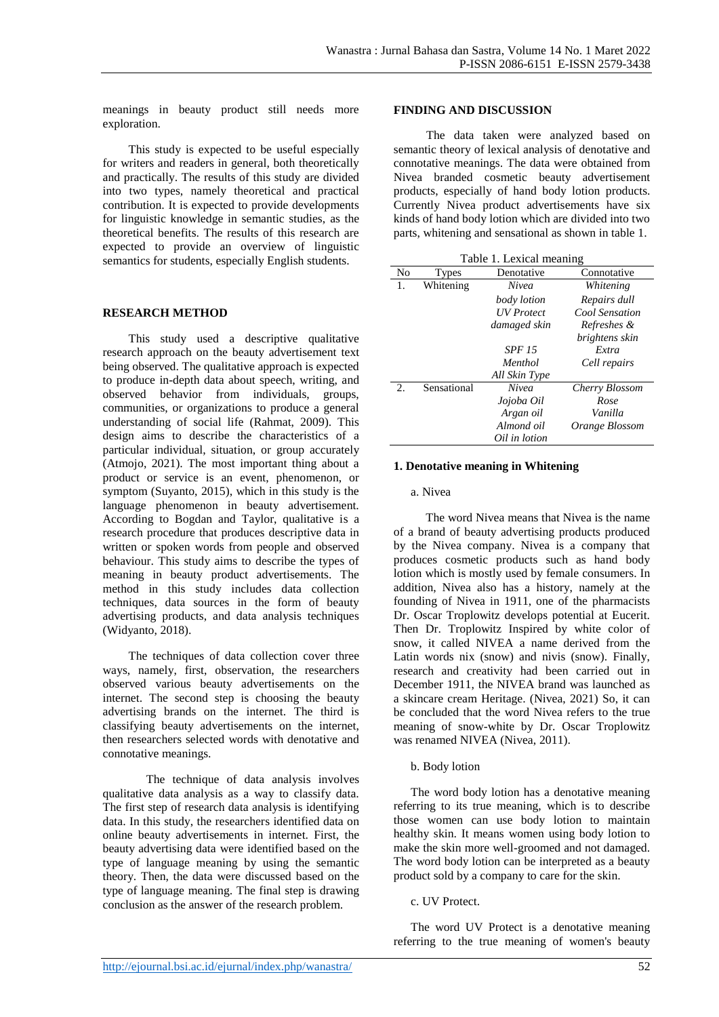meanings in beauty product still needs more exploration.

This study is expected to be useful especially for writers and readers in general, both theoretically and practically. The results of this study are divided into two types, namely theoretical and practical contribution. It is expected to provide developments for linguistic knowledge in semantic studies, as the theoretical benefits. The results of this research are expected to provide an overview of linguistic semantics for students, especially English students.

### **RESEARCH METHOD**

This study used a descriptive qualitative research approach on the beauty advertisement text being observed. The qualitative approach is expected to produce in-depth data about speech, writing, and observed behavior from individuals, groups, communities, or organizations to produce a general understanding of social life (Rahmat, 2009). This design aims to describe the characteristics of a particular individual, situation, or group accurately (Atmojo, 2021). The most important thing about a product or service is an event, phenomenon, or symptom (Suyanto, 2015), which in this study is the language phenomenon in beauty advertisement. According to Bogdan and Taylor, qualitative is a research procedure that produces descriptive data in written or spoken words from people and observed behaviour. This study aims to describe the types of meaning in beauty product advertisements. The method in this study includes data collection techniques, data sources in the form of beauty advertising products, and data analysis techniques (Widyanto, 2018).

The techniques of data collection cover three ways, namely, first, observation, the researchers observed various beauty advertisements on the internet. The second step is choosing the beauty advertising brands on the internet. The third is classifying beauty advertisements on the internet, then researchers selected words with denotative and connotative meanings.

The technique of data analysis involves qualitative data analysis as a way to classify data. The first step of research data analysis is identifying data. In this study, the researchers identified data on online beauty advertisements in internet. First, the beauty advertising data were identified based on the type of language meaning by using the semantic theory. Then, the data were discussed based on the type of language meaning. The final step is drawing conclusion as the answer of the research problem.

#### **FINDING AND DISCUSSION**

The data taken were analyzed based on semantic theory of lexical analysis of denotative and connotative meanings. The data were obtained from Nivea branded cosmetic beauty advertisement products, especially of hand body lotion products. Currently Nivea product advertisements have six kinds of hand body lotion which are divided into two parts, whitening and sensational as shown in table 1.

|  |  | Table 1. Lexical meaning |
|--|--|--------------------------|
|  |  |                          |

| -----o |             |                   |                |  |  |  |  |
|--------|-------------|-------------------|----------------|--|--|--|--|
| No     | Types       | Denotative        | Connotative    |  |  |  |  |
| 1.     | Whitening   | Nivea             | Whitening      |  |  |  |  |
|        |             | body lotion       | Repairs dull   |  |  |  |  |
|        |             | <b>UV</b> Protect | Cool Sensation |  |  |  |  |
|        |             | damaged skin      | Refreshes &    |  |  |  |  |
|        |             |                   | brightens skin |  |  |  |  |
|        |             | <i>SPF 15</i>     | Extra          |  |  |  |  |
|        |             | Menthol           | Cell repairs   |  |  |  |  |
|        |             | All Skin Type     |                |  |  |  |  |
| 2.     | Sensational | Nivea             | Cherry Blossom |  |  |  |  |
|        |             | Jojoba Oil        | Rose           |  |  |  |  |
|        |             | Argan oil         | Vanilla        |  |  |  |  |
|        |             | Almond oil        | Orange Blossom |  |  |  |  |
|        |             | Oil in lotion     |                |  |  |  |  |

#### **1. Denotative meaning in Whitening**

#### a. Nivea

 The word Nivea means that Nivea is the name of a brand of beauty advertising products produced by the Nivea company. Nivea is a company that produces cosmetic products such as hand body lotion which is mostly used by female consumers. In addition, Nivea also has a history, namely at the founding of Nivea in 1911, one of the pharmacists Dr. Oscar Troplowitz develops potential at Eucerit. Then Dr. Troplowitz Inspired by white color of snow, it called NIVEA a name derived from the Latin words nix (snow) and nivis (snow). Finally, research and creativity had been carried out in December 1911, the NIVEA brand was launched as a skincare cream Heritage. (Nivea, 2021) So, it can be concluded that the word Nivea refers to the true meaning of snow-white by Dr. Oscar Troplowitz was renamed NIVEA (Nivea, 2011).

#### b. Body lotion

The word body lotion has a denotative meaning referring to its true meaning, which is to describe those women can use body lotion to maintain healthy skin. It means women using body lotion to make the skin more well-groomed and not damaged. The word body lotion can be interpreted as a beauty product sold by a company to care for the skin.

#### c. UV Protect.

The word UV Protect is a denotative meaning referring to the true meaning of women's beauty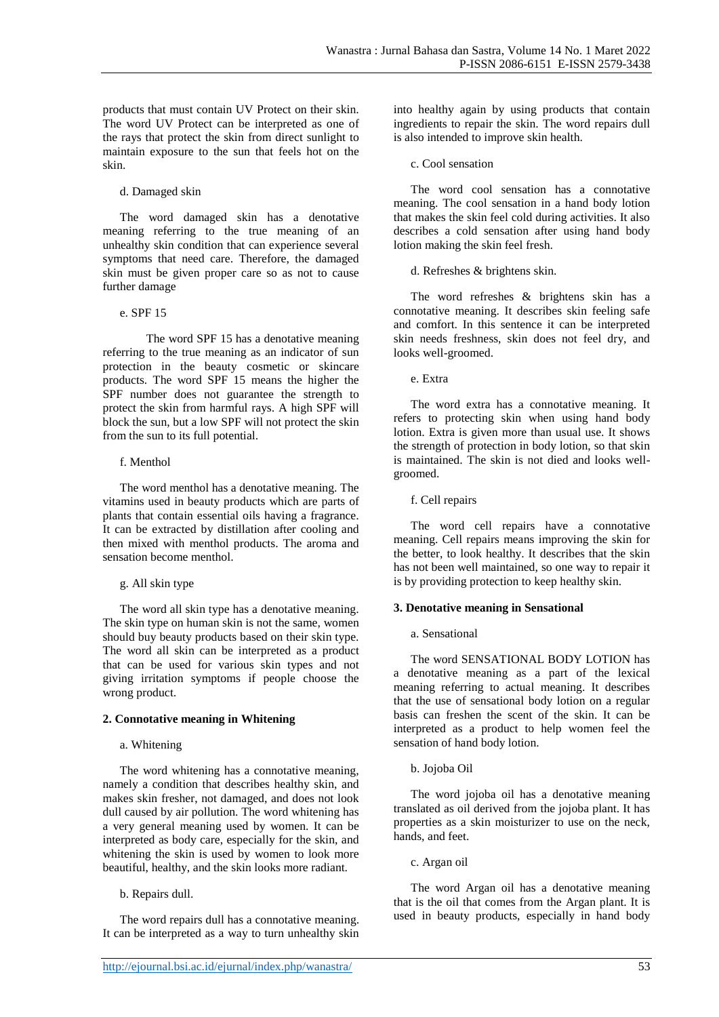products that must contain UV Protect on their skin. The word UV Protect can be interpreted as one of the rays that protect the skin from direct sunlight to maintain exposure to the sun that feels hot on the skin.

#### d. Damaged skin

The word damaged skin has a denotative meaning referring to the true meaning of an unhealthy skin condition that can experience several symptoms that need care. Therefore, the damaged skin must be given proper care so as not to cause further damage

#### e. SPF 15

The word SPF 15 has a denotative meaning referring to the true meaning as an indicator of sun protection in the beauty cosmetic or skincare products. The word SPF 15 means the higher the SPF number does not guarantee the strength to protect the skin from harmful rays. A high SPF will block the sun, but a low SPF will not protect the skin from the sun to its full potential.

### f. Menthol

The word menthol has a denotative meaning. The vitamins used in beauty products which are parts of plants that contain essential oils having a fragrance. It can be extracted by distillation after cooling and then mixed with menthol products. The aroma and sensation become menthol.

### g. All skin type

The word all skin type has a denotative meaning. The skin type on human skin is not the same, women should buy beauty products based on their skin type. The word all skin can be interpreted as a product that can be used for various skin types and not giving irritation symptoms if people choose the wrong product.

### **2. Connotative meaning in Whitening**

### a. Whitening

The word whitening has a connotative meaning, namely a condition that describes healthy skin, and makes skin fresher, not damaged, and does not look dull caused by air pollution. The word whitening has a very general meaning used by women. It can be interpreted as body care, especially for the skin, and whitening the skin is used by women to look more beautiful, healthy, and the skin looks more radiant.

b. Repairs dull.

The word repairs dull has a connotative meaning. It can be interpreted as a way to turn unhealthy skin

#### c. Cool sensation

The word cool sensation has a connotative meaning. The cool sensation in a hand body lotion that makes the skin feel cold during activities. It also describes a cold sensation after using hand body lotion making the skin feel fresh.

d. Refreshes & brightens skin.

The word refreshes & brightens skin has a connotative meaning. It describes skin feeling safe and comfort. In this sentence it can be interpreted skin needs freshness, skin does not feel dry, and looks well-groomed.

e. Extra

The word extra has a connotative meaning. It refers to protecting skin when using hand body lotion. Extra is given more than usual use. It shows the strength of protection in body lotion, so that skin is maintained. The skin is not died and looks wellgroomed.

f. Cell repairs

The word cell repairs have a connotative meaning. Cell repairs means improving the skin for the better, to look healthy. It describes that the skin has not been well maintained, so one way to repair it is by providing protection to keep healthy skin.

### **3. Denotative meaning in Sensational**

### a. Sensational

The word SENSATIONAL BODY LOTION has a denotative meaning as a part of the lexical meaning referring to actual meaning. It describes that the use of sensational body lotion on a regular basis can freshen the scent of the skin. It can be interpreted as a product to help women feel the sensation of hand body lotion.

### b. Jojoba Oil

The word jojoba oil has a denotative meaning translated as oil derived from the jojoba plant. It has properties as a skin moisturizer to use on the neck, hands, and feet.

c. Argan oil

The word Argan oil has a denotative meaning that is the oil that comes from the Argan plant. It is used in beauty products, especially in hand body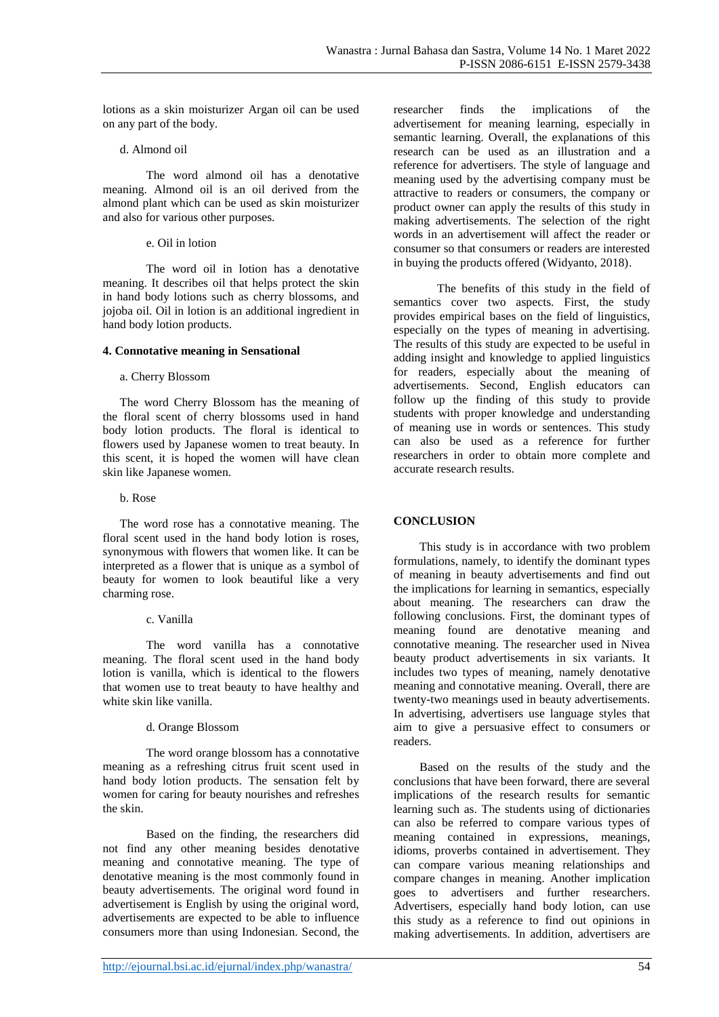lotions as a skin moisturizer Argan oil can be used on any part of the body.

#### d. Almond oil

The word almond oil has a denotative meaning. Almond oil is an oil derived from the almond plant which can be used as skin moisturizer and also for various other purposes.

### e. Oil in lotion

The word oil in lotion has a denotative meaning. It describes oil that helps protect the skin in hand body lotions such as cherry blossoms, and jojoba oil. Oil in lotion is an additional ingredient in hand body lotion products.

#### **4. Connotative meaning in Sensational**

#### a. Cherry Blossom

The word Cherry Blossom has the meaning of the floral scent of cherry blossoms used in hand body lotion products. The floral is identical to flowers used by Japanese women to treat beauty. In this scent, it is hoped the women will have clean skin like Japanese women.

### b. Rose

The word rose has a connotative meaning. The floral scent used in the hand body lotion is roses, synonymous with flowers that women like. It can be interpreted as a flower that is unique as a symbol of beauty for women to look beautiful like a very charming rose.

### c. Vanilla

The word vanilla has a connotative meaning. The floral scent used in the hand body lotion is vanilla, which is identical to the flowers that women use to treat beauty to have healthy and white skin like vanilla.

### d. Orange Blossom

The word orange blossom has a connotative meaning as a refreshing citrus fruit scent used in hand body lotion products. The sensation felt by women for caring for beauty nourishes and refreshes the skin.

Based on the finding, the researchers did not find any other meaning besides denotative meaning and connotative meaning. The type of denotative meaning is the most commonly found in beauty advertisements. The original word found in advertisement is English by using the original word, advertisements are expected to be able to influence consumers more than using Indonesian. Second, the researcher finds the implications of the advertisement for meaning learning, especially in semantic learning. Overall, the explanations of this research can be used as an illustration and a reference for advertisers. The style of language and meaning used by the advertising company must be attractive to readers or consumers, the company or product owner can apply the results of this study in making advertisements. The selection of the right words in an advertisement will affect the reader or consumer so that consumers or readers are interested in buying the products offered (Widyanto, 2018).

The benefits of this study in the field of semantics cover two aspects. First, the study provides empirical bases on the field of linguistics, especially on the types of meaning in advertising. The results of this study are expected to be useful in adding insight and knowledge to applied linguistics for readers, especially about the meaning of advertisements. Second, English educators can follow up the finding of this study to provide students with proper knowledge and understanding of meaning use in words or sentences. This study can also be used as a reference for further researchers in order to obtain more complete and accurate research results.

## **CONCLUSION**

This study is in accordance with two problem formulations, namely, to identify the dominant types of meaning in beauty advertisements and find out the implications for learning in semantics, especially about meaning. The researchers can draw the following conclusions. First, the dominant types of meaning found are denotative meaning and connotative meaning. The researcher used in Nivea beauty product advertisements in six variants. It includes two types of meaning, namely denotative meaning and connotative meaning. Overall, there are twenty-two meanings used in beauty advertisements. In advertising, advertisers use language styles that aim to give a persuasive effect to consumers or readers.

Based on the results of the study and the conclusions that have been forward, there are several implications of the research results for semantic learning such as. The students using of dictionaries can also be referred to compare various types of meaning contained in expressions, meanings, idioms, proverbs contained in advertisement. They can compare various meaning relationships and compare changes in meaning. Another implication goes to advertisers and further researchers. Advertisers, especially hand body lotion, can use this study as a reference to find out opinions in making advertisements. In addition, advertisers are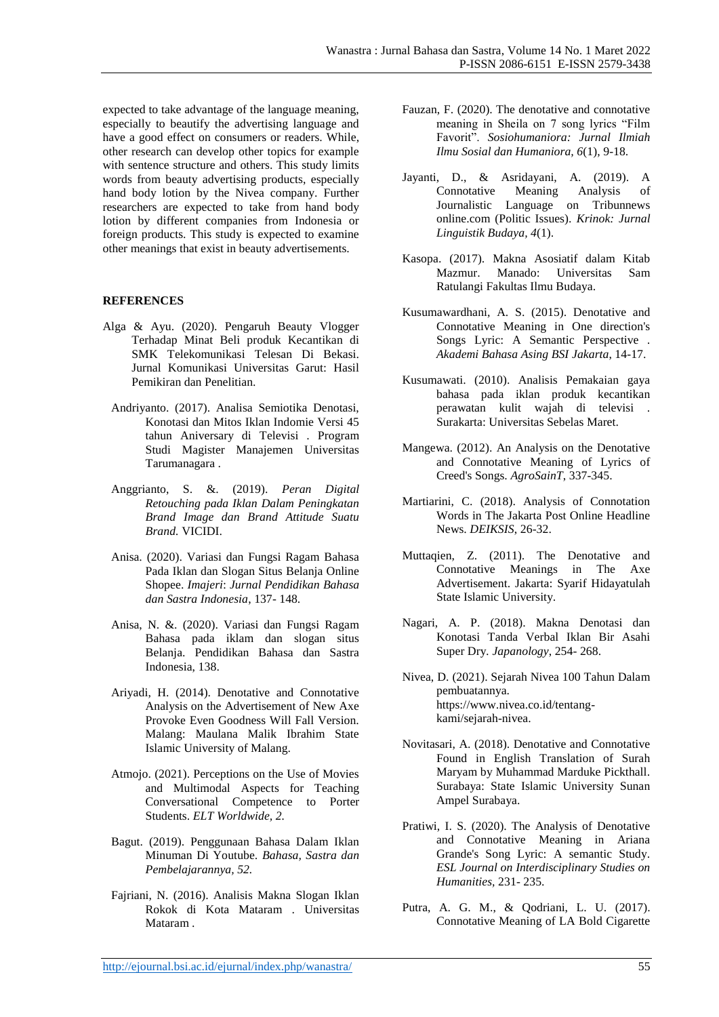expected to take advantage of the language meaning, especially to beautify the advertising language and have a good effect on consumers or readers. While, other research can develop other topics for example with sentence structure and others. This study limits words from beauty advertising products, especially hand body lotion by the Nivea company. Further researchers are expected to take from hand body lotion by different companies from Indonesia or foreign products. This study is expected to examine other meanings that exist in beauty advertisements.

## **REFERENCES**

- Alga & Ayu. (2020). Pengaruh Beauty Vlogger Terhadap Minat Beli produk Kecantikan di SMK Telekomunikasi Telesan Di Bekasi. Jurnal Komunikasi Universitas Garut: Hasil Pemikiran dan Penelitian.
	- Andriyanto. (2017). Analisa Semiotika Denotasi, Konotasi dan Mitos Iklan Indomie Versi 45 tahun Aniversary di Televisi . Program Studi Magister Manajemen Universitas Tarumanagara .
	- Anggrianto, S. &. (2019). *Peran Digital Retouching pada Iklan Dalam Peningkatan Brand Image dan Brand Attitude Suatu Brand.* VICIDI.
	- Anisa. (2020). Variasi dan Fungsi Ragam Bahasa Pada Iklan dan Slogan Situs Belanja Online Shopee. *Imajeri*: *Jurnal Pendidikan Bahasa dan Sastra Indonesia*, 137- 148.
	- Anisa, N. &. (2020). Variasi dan Fungsi Ragam Bahasa pada iklam dan slogan situs Belanja. Pendidikan Bahasa dan Sastra Indonesia, 138.
	- Ariyadi, H. (2014). Denotative and Connotative Analysis on the Advertisement of New Axe Provoke Even Goodness Will Fall Version. Malang: Maulana Malik Ibrahim State Islamic University of Malang.
	- Atmojo. (2021). Perceptions on the Use of Movies and Multimodal Aspects for Teaching Conversational Competence to Porter Students. *ELT Worldwide, 2.*
	- Bagut. (2019). Penggunaan Bahasa Dalam Iklan Minuman Di Youtube. *Bahasa, Sastra dan Pembelajarannya, 52.*
	- Fajriani, N. (2016). Analisis Makna Slogan Iklan Rokok di Kota Mataram . Universitas Mataram .
- Fauzan, F. (2020). The denotative and connotative meaning in Sheila on 7 song lyrics "Film Favorit". *Sosiohumaniora: Jurnal Ilmiah Ilmu Sosial dan Humaniora, 6*(1), 9-18.
- Jayanti, D., & Asridayani, A. (2019). A Connotative Meaning Analysis of Journalistic Language on Tribunnews online.com (Politic Issues). *Krinok: Jurnal Linguistik Budaya, 4*(1).
- Kasopa. (2017). Makna Asosiatif dalam Kitab Mazmur. Manado: Universitas Sam Ratulangi Fakultas Ilmu Budaya.
- Kusumawardhani, A. S. (2015). Denotative and Connotative Meaning in One direction's Songs Lyric: A Semantic Perspective *. Akademi Bahasa Asing BSI Jakarta*, 14-17.
- Kusumawati. (2010). Analisis Pemakaian gaya bahasa pada iklan produk kecantikan perawatan kulit wajah di televisi . Surakarta: Universitas Sebelas Maret.
- Mangewa. (2012). An Analysis on the Denotative and Connotative Meaning of Lyrics of Creed's Songs. *AgroSainT*, 337-345.
- Martiarini, C. (2018). Analysis of Connotation Words in The Jakarta Post Online Headline News. *DEIKSIS*, 26-32.
- Muttaqien, Z. (2011). The Denotative and Connotative Meanings in The Axe Advertisement. Jakarta: Syarif Hidayatulah State Islamic University.
- Nagari, A. P. (2018). Makna Denotasi dan Konotasi Tanda Verbal Iklan Bir Asahi Super Dry*. Japanology*, 254- 268.
- Nivea, D. (2021). Sejarah Nivea 100 Tahun Dalam pembuatannya. https://www.nivea.co.id/tentangkami/sejarah-nivea.
- Novitasari, A. (2018). Denotative and Connotative Found in English Translation of Surah Maryam by Muhammad Marduke Pickthall. Surabaya: State Islamic University Sunan Ampel Surabaya.
- Pratiwi, I. S. (2020). The Analysis of Denotative and Connotative Meaning in Ariana Grande's Song Lyric: A semantic Study. *ESL Journal on Interdisciplinary Studies on Humanities,* 231- 235.
- Putra, A. G. M., & Qodriani, L. U. (2017). Connotative Meaning of LA Bold Cigarette